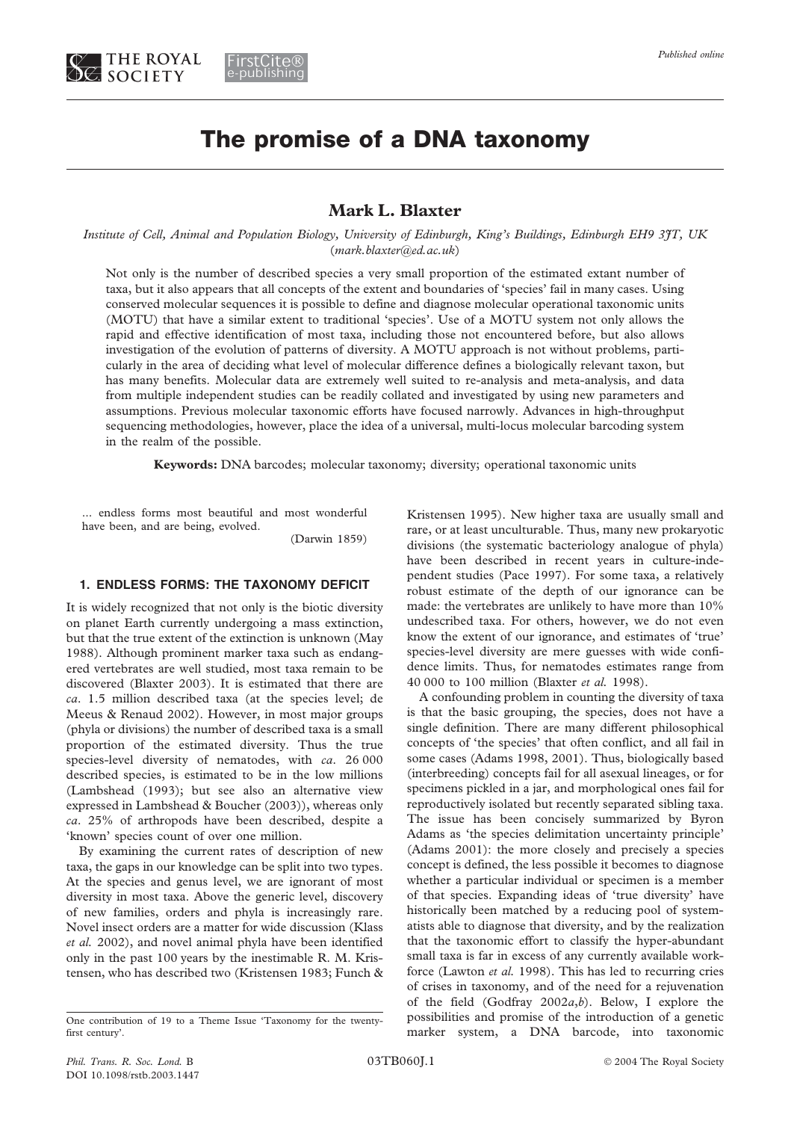

# **The promise of a DNA taxonomy**

## **Mark L. Blaxter**

*Institute of Cell, Animal and Population Biology, University of Edinburgh, King's Buildings, Edinburgh EH9 3JT, UK* (*mark.blaxter@ed.ac.uk*)

Not only is the number of described species a very small proportion of the estimated extant number of taxa, but it also appears that all concepts of the extent and boundaries of 'species' fail in many cases. Using conserved molecular sequences it is possible to define and diagnose molecular operational taxonomic units (MOTU) that have a similar extent to traditional 'species'. Use of a MOTU system not only allows the rapid and effective identification of most taxa, including those not encountered before, but also allows investigation of the evolution of patterns of diversity. A MOTU approach is not without problems, particularly in the area of deciding what level of molecular difference defines a biologically relevant taxon, but has many benefits. Molecular data are extremely well suited to re-analysis and meta-analysis, and data from multiple independent studies can be readily collated and investigated by using new parameters and assumptions. Previous molecular taxonomic efforts have focused narrowly. Advances in high-throughput sequencing methodologies, however, place the idea of a universal, multi-locus molecular barcoding system in the realm of the possible.

**Keywords:** DNA barcodes; molecular taxonomy; diversity; operational taxonomic units

... endless forms most beautiful and most wonderful have been, and are being, evolved.

(Darwin 1859)

## **1. ENDLESS FORMS: THE TAXONOMY DEFICIT**

It is widely recognized that not only is the biotic diversity on planet Earth currently undergoing a mass extinction, but that the true extent of the extinction is unknown (May 1988). Although prominent marker taxa such as endangered vertebrates are well studied, most taxa remain to be discovered (Blaxter 2003). It is estimated that there are *ca*. 1.5 million described taxa (at the species level; de Meeus & Renaud 2002). However, in most major groups (phyla or divisions) the number of described taxa is a small proportion of the estimated diversity. Thus the true species-level diversity of nematodes, with *ca*. 26 000 described species, is estimated to be in the low millions (Lambshead (1993); but see also an alternative view expressed in Lambshead & Boucher (2003)), whereas only *ca*. 25% of arthropods have been described, despite a 'known' species count of over one million.

By examining the current rates of description of new taxa, the gaps in our knowledge can be split into two types. At the species and genus level, we are ignorant of most diversity in most taxa. Above the generic level, discovery of new families, orders and phyla is increasingly rare. Novel insect orders are a matter for wide discussion (Klass *et al.* 2002), and novel animal phyla have been identified only in the past 100 years by the inestimable R. M. Kristensen, who has described two (Kristensen 1983; Funch &

Kristensen 1995). New higher taxa are usually small and rare, or at least unculturable. Thus, many new prokaryotic divisions (the systematic bacteriology analogue of phyla) have been described in recent years in culture-independent studies (Pace 1997). For some taxa, a relatively robust estimate of the depth of our ignorance can be made: the vertebrates are unlikely to have more than 10% undescribed taxa. For others, however, we do not even know the extent of our ignorance, and estimates of 'true' species-level diversity are mere guesses with wide confidence limits. Thus, for nematodes estimates range from 40 000 to 100 million (Blaxter *et al.* 1998).

A confounding problem in counting the diversity of taxa is that the basic grouping, the species, does not have a single definition. There are many different philosophical concepts of 'the species' that often conflict, and all fail in some cases (Adams 1998, 2001). Thus, biologically based (interbreeding) concepts fail for all asexual lineages, or for specimens pickled in a jar, and morphological ones fail for reproductively isolated but recently separated sibling taxa. The issue has been concisely summarized by Byron Adams as 'the species delimitation uncertainty principle' (Adams 2001): the more closely and precisely a species concept is defined, the less possible it becomes to diagnose whether a particular individual or specimen is a member of that species. Expanding ideas of 'true diversity' have historically been matched by a reducing pool of systematists able to diagnose that diversity, and by the realization that the taxonomic effort to classify the hyper-abundant small taxa is far in excess of any currently available workforce (Lawton *et al.* 1998). This has led to recurring cries of crises in taxonomy, and of the need for a rejuvenation of the field (Godfray 2002*a*,*b*). Below, I explore the possibilities and promise of the introduction of a genetic marker system, a DNA barcode, into taxonomic

One contribution of 19 to a Theme Issue 'Taxonomy for the twentyfirst century'.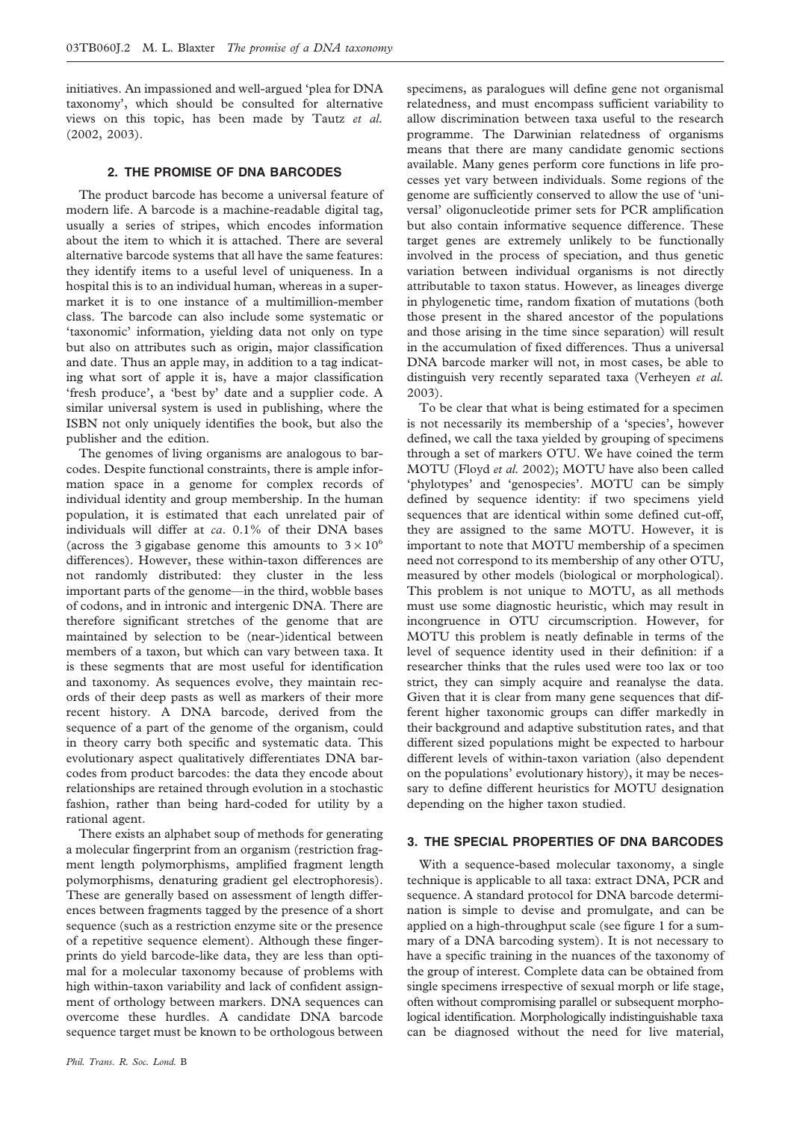initiatives. An impassioned and well-argued 'plea for DNA taxonomy', which should be consulted for alternative views on this topic, has been made by Tautz *et al.* (2002, 2003).

### **2. THE PROMISE OF DNA BARCODES**

The product barcode has become a universal feature of modern life. A barcode is a machine-readable digital tag, usually a series of stripes, which encodes information about the item to which it is attached. There are several alternative barcode systems that all have the same features: they identify items to a useful level of uniqueness. In a hospital this is to an individual human, whereas in a supermarket it is to one instance of a multimillion-member class. The barcode can also include some systematic or 'taxonomic' information, yielding data not only on type but also on attributes such as origin, major classification and date. Thus an apple may, in addition to a tag indicating what sort of apple it is, have a major classification 'fresh produce', a 'best by' date and a supplier code. A similar universal system is used in publishing, where the ISBN not only uniquely identifies the book, but also the publisher and the edition.

The genomes of living organisms are analogous to barcodes. Despite functional constraints, there is ample information space in a genome for complex records of individual identity and group membership. In the human population, it is estimated that each unrelated pair of individuals will differ at *ca*. 0.1% of their DNA bases (across the 3 gigabase genome this amounts to  $3 \times 10^6$ ) differences). However, these within-taxon differences are not randomly distributed: they cluster in the less important parts of the genome—in the third, wobble bases of codons, and in intronic and intergenic DNA. There are therefore significant stretches of the genome that are maintained by selection to be (near-)identical between members of a taxon, but which can vary between taxa. It is these segments that are most useful for identification and taxonomy. As sequences evolve, they maintain records of their deep pasts as well as markers of their more recent history. A DNA barcode, derived from the sequence of a part of the genome of the organism, could in theory carry both specific and systematic data. This evolutionary aspect qualitatively differentiates DNA barcodes from product barcodes: the data they encode about relationships are retained through evolution in a stochastic fashion, rather than being hard-coded for utility by a rational agent.

There exists an alphabet soup of methods for generating a molecular fingerprint from an organism (restriction fragment length polymorphisms, amplified fragment length polymorphisms, denaturing gradient gel electrophoresis). These are generally based on assessment of length differences between fragments tagged by the presence of a short sequence (such as a restriction enzyme site or the presence of a repetitive sequence element). Although these fingerprints do yield barcode-like data, they are less than optimal for a molecular taxonomy because of problems with high within-taxon variability and lack of confident assignment of orthology between markers. DNA sequences can overcome these hurdles. A candidate DNA barcode sequence target must be known to be orthologous between

specimens, as paralogues will define gene not organismal relatedness, and must encompass sufficient variability to allow discrimination between taxa useful to the research programme. The Darwinian relatedness of organisms means that there are many candidate genomic sections available. Many genes perform core functions in life processes yet vary between individuals. Some regions of the genome are sufficiently conserved to allow the use of 'universal' oligonucleotide primer sets for PCR amplification but also contain informative sequence difference. These target genes are extremely unlikely to be functionally involved in the process of speciation, and thus genetic variation between individual organisms is not directly attributable to taxon status. However, as lineages diverge in phylogenetic time, random fixation of mutations (both those present in the shared ancestor of the populations and those arising in the time since separation) will result in the accumulation of fixed differences. Thus a universal DNA barcode marker will not, in most cases, be able to distinguish very recently separated taxa (Verheyen *et al.* 2003).

To be clear that what is being estimated for a specimen is not necessarily its membership of a 'species', however defined, we call the taxa yielded by grouping of specimens through a set of markers OTU. We have coined the term MOTU (Floyd *et al.* 2002); MOTU have also been called 'phylotypes' and 'genospecies'. MOTU can be simply defined by sequence identity: if two specimens yield sequences that are identical within some defined cut-off, they are assigned to the same MOTU. However, it is important to note that MOTU membership of a specimen need not correspond to its membership of any other OTU, measured by other models (biological or morphological). This problem is not unique to MOTU, as all methods must use some diagnostic heuristic, which may result in incongruence in OTU circumscription. However, for MOTU this problem is neatly definable in terms of the level of sequence identity used in their definition: if a researcher thinks that the rules used were too lax or too strict, they can simply acquire and reanalyse the data. Given that it is clear from many gene sequences that different higher taxonomic groups can differ markedly in their background and adaptive substitution rates, and that different sized populations might be expected to harbour different levels of within-taxon variation (also dependent on the populations' evolutionary history), it may be necessary to define different heuristics for MOTU designation depending on the higher taxon studied.

#### **3. THE SPECIAL PROPERTIES OF DNA BARCODES**

With a sequence-based molecular taxonomy, a single technique is applicable to all taxa: extract DNA, PCR and sequence. A standard protocol for DNA barcode determination is simple to devise and promulgate, and can be applied on a high-throughput scale (see figure 1 for a summary of a DNA barcoding system). It is not necessary to have a specific training in the nuances of the taxonomy of the group of interest. Complete data can be obtained from single specimens irrespective of sexual morph or life stage, often without compromising parallel or subsequent morphological identification. Morphologically indistinguishable taxa can be diagnosed without the need for live material,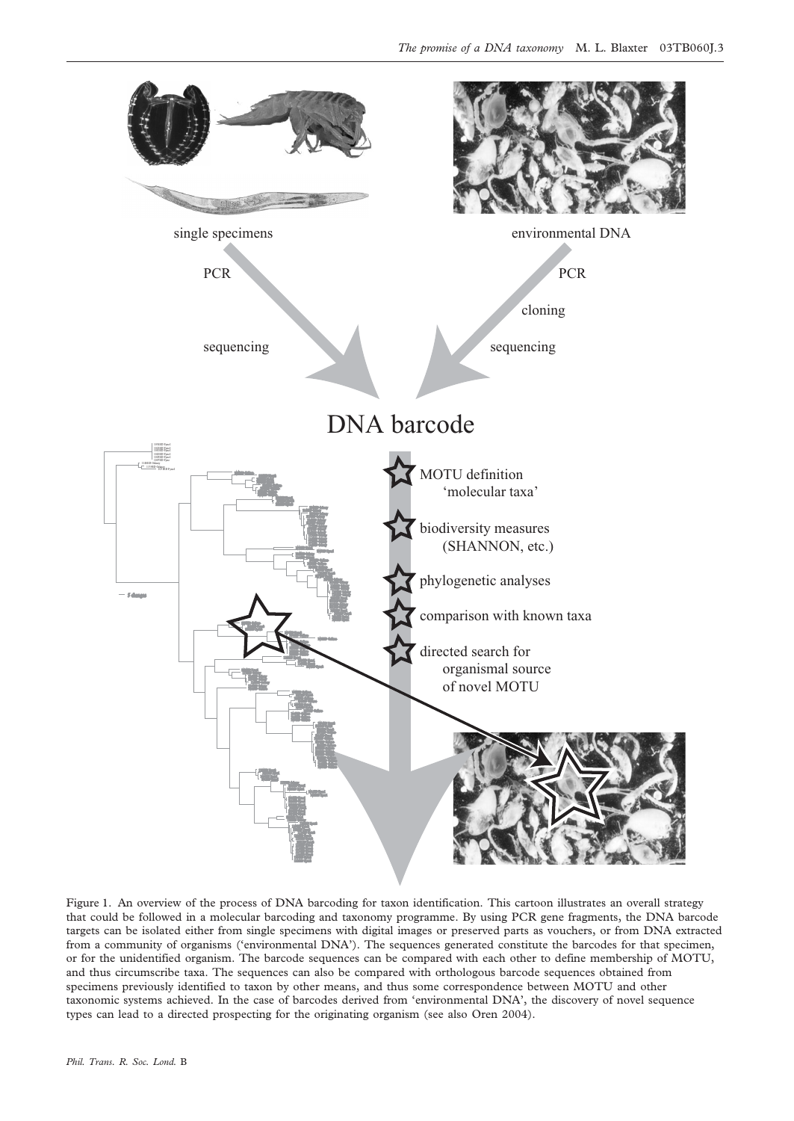

Figure 1. An overview of the process of DNA barcoding for taxon identification. This cartoon illustrates an overall strategy that could be followed in a molecular barcoding and taxonomy programme. By using PCR gene fragments, the DNA barcode targets can be isolated either from single specimens with digital images or preserved parts as vouchers, or from DNA extracted from a community of organisms ('environmental DNA'). The sequences generated constitute the barcodes for that specimen, or for the unidentified organism. The barcode sequences can be compared with each other to define membership of MOTU, and thus circumscribe taxa. The sequences can also be compared with orthologous barcode sequences obtained from specimens previously identified to taxon by other means, and thus some correspondence between MOTU and other taxonomic systems achieved. In the case of barcodes derived from 'environmental DNA', the discovery of novel sequence types can lead to a directed prospecting for the originating organism (see also Oren 2004).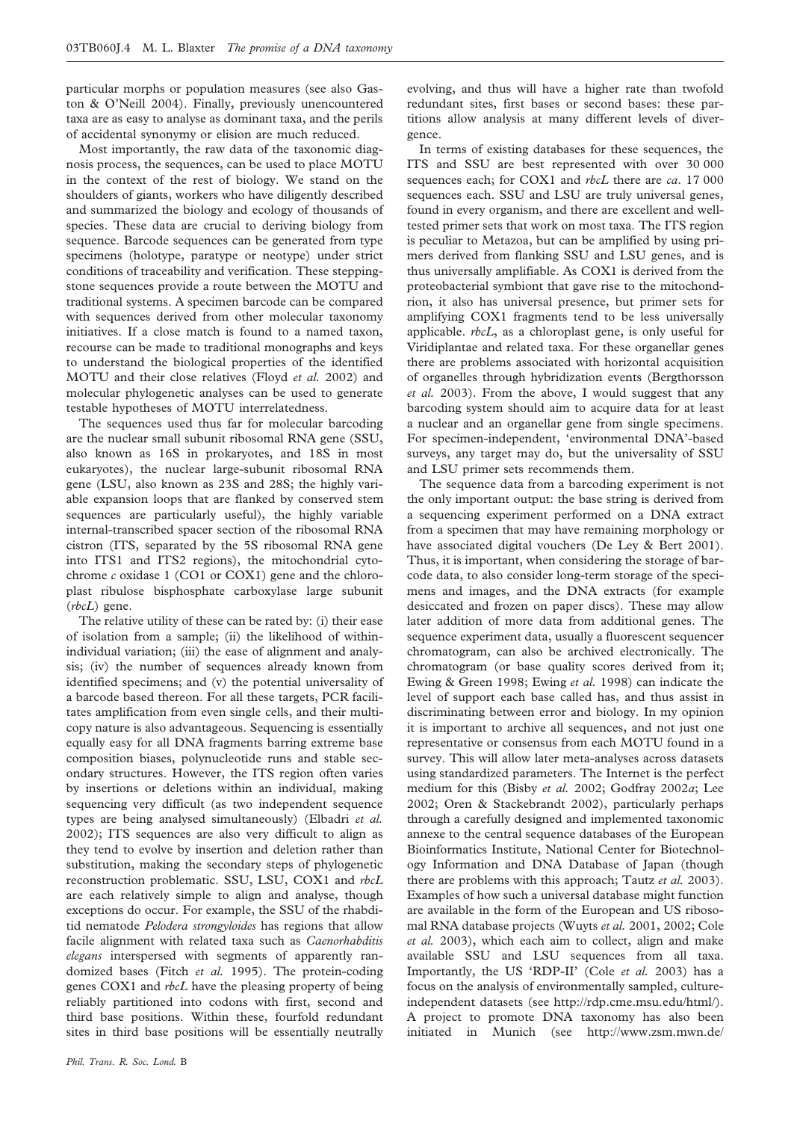particular morphs or population measures (see also Gaston & O'Neill 2004). Finally, previously unencountered taxa are as easy to analyse as dominant taxa, and the perils of accidental synonymy or elision are much reduced.

Most importantly, the raw data of the taxonomic diagnosis process, the sequences, can be used to place MOTU in the context of the rest of biology. We stand on the shoulders of giants, workers who have diligently described and summarized the biology and ecology of thousands of species. These data are crucial to deriving biology from sequence. Barcode sequences can be generated from type specimens (holotype, paratype or neotype) under strict conditions of traceability and verification. These steppingstone sequences provide a route between the MOTU and traditional systems. A specimen barcode can be compared with sequences derived from other molecular taxonomy initiatives. If a close match is found to a named taxon, recourse can be made to traditional monographs and keys to understand the biological properties of the identified MOTU and their close relatives (Floyd *et al.* 2002) and molecular phylogenetic analyses can be used to generate testable hypotheses of MOTU interrelatedness.

The sequences used thus far for molecular barcoding are the nuclear small subunit ribosomal RNA gene (SSU, also known as 16S in prokaryotes, and 18S in most eukaryotes), the nuclear large-subunit ribosomal RNA gene (LSU, also known as 23S and 28S; the highly variable expansion loops that are flanked by conserved stem sequences are particularly useful), the highly variable internal-transcribed spacer section of the ribosomal RNA cistron (ITS, separated by the 5S ribosomal RNA gene into ITS1 and ITS2 regions), the mitochondrial cytochrome *c* oxidase 1 (CO1 or COX1) gene and the chloroplast ribulose bisphosphate carboxylase large subunit (*rbcL*) gene.

The relative utility of these can be rated by: (i) their ease of isolation from a sample; (ii) the likelihood of withinindividual variation; (iii) the ease of alignment and analysis; (iv) the number of sequences already known from identified specimens; and (v) the potential universality of a barcode based thereon. For all these targets, PCR facilitates amplification from even single cells, and their multicopy nature is also advantageous. Sequencing is essentially equally easy for all DNA fragments barring extreme base composition biases, polynucleotide runs and stable secondary structures. However, the ITS region often varies by insertions or deletions within an individual, making sequencing very difficult (as two independent sequence types are being analysed simultaneously) (Elbadri *et al.* 2002); ITS sequences are also very difficult to align as they tend to evolve by insertion and deletion rather than substitution, making the secondary steps of phylogenetic reconstruction problematic. SSU, LSU, COX1 and *rbcL* are each relatively simple to align and analyse, though exceptions do occur. For example, the SSU of the rhabditid nematode *Pelodera strongyloides* has regions that allow facile alignment with related taxa such as *Caenorhabditis elegans* interspersed with segments of apparently randomized bases (Fitch *et al.* 1995). The protein-coding genes COX1 and *rbcL* have the pleasing property of being reliably partitioned into codons with first, second and third base positions. Within these, fourfold redundant sites in third base positions will be essentially neutrally

*Phil. Trans. R. Soc. Lond.* B

evolving, and thus will have a higher rate than twofold redundant sites, first bases or second bases: these partitions allow analysis at many different levels of divergence.

In terms of existing databases for these sequences, the ITS and SSU are best represented with over 30 000 sequences each; for COX1 and *rbcL* there are *ca*. 17 000 sequences each. SSU and LSU are truly universal genes, found in every organism, and there are excellent and welltested primer sets that work on most taxa. The ITS region is peculiar to Metazoa, but can be amplified by using primers derived from flanking SSU and LSU genes, and is thus universally amplifiable. As COX1 is derived from the proteobacterial symbiont that gave rise to the mitochondrion, it also has universal presence, but primer sets for amplifying COX1 fragments tend to be less universally applicable. *rbcL*, as a chloroplast gene, is only useful for Viridiplantae and related taxa. For these organellar genes there are problems associated with horizontal acquisition of organelles through hybridization events (Bergthorsson *et al.* 2003). From the above, I would suggest that any barcoding system should aim to acquire data for at least a nuclear and an organellar gene from single specimens. For specimen-independent, 'environmental DNA'-based surveys, any target may do, but the universality of SSU and LSU primer sets recommends them.

The sequence data from a barcoding experiment is not the only important output: the base string is derived from a sequencing experiment performed on a DNA extract from a specimen that may have remaining morphology or have associated digital vouchers (De Ley & Bert 2001). Thus, it is important, when considering the storage of barcode data, to also consider long-term storage of the specimens and images, and the DNA extracts (for example desiccated and frozen on paper discs). These may allow later addition of more data from additional genes. The sequence experiment data, usually a fluorescent sequencer chromatogram, can also be archived electronically. The chromatogram (or base quality scores derived from it; Ewing & Green 1998; Ewing *et al.* 1998) can indicate the level of support each base called has, and thus assist in discriminating between error and biology. In my opinion it is important to archive all sequences, and not just one representative or consensus from each MOTU found in a survey. This will allow later meta-analyses across datasets using standardized parameters. The Internet is the perfect medium for this (Bisby *et al.* 2002; Godfray 2002*a*; Lee 2002; Oren & Stackebrandt 2002), particularly perhaps through a carefully designed and implemented taxonomic annexe to the central sequence databases of the European Bioinformatics Institute, National Center for Biotechnology Information and DNA Database of Japan (though there are problems with this approach; Tautz *et al.* 2003). Examples of how such a universal database might function are available in the form of the European and US ribosomal RNA database projects (Wuyts *et al.* 2001, 2002; Cole *et al.* 2003), which each aim to collect, align and make available SSU and LSU sequences from all taxa. Importantly, the US 'RDP-II' (Cole *et al.* 2003) has a focus on the analysis of environmentally sampled, cultureindependent datasets (see http://rdp.cme.msu.edu/html/). A project to promote DNA taxonomy has also been initiated in Munich (see http://www.zsm.mwn.de/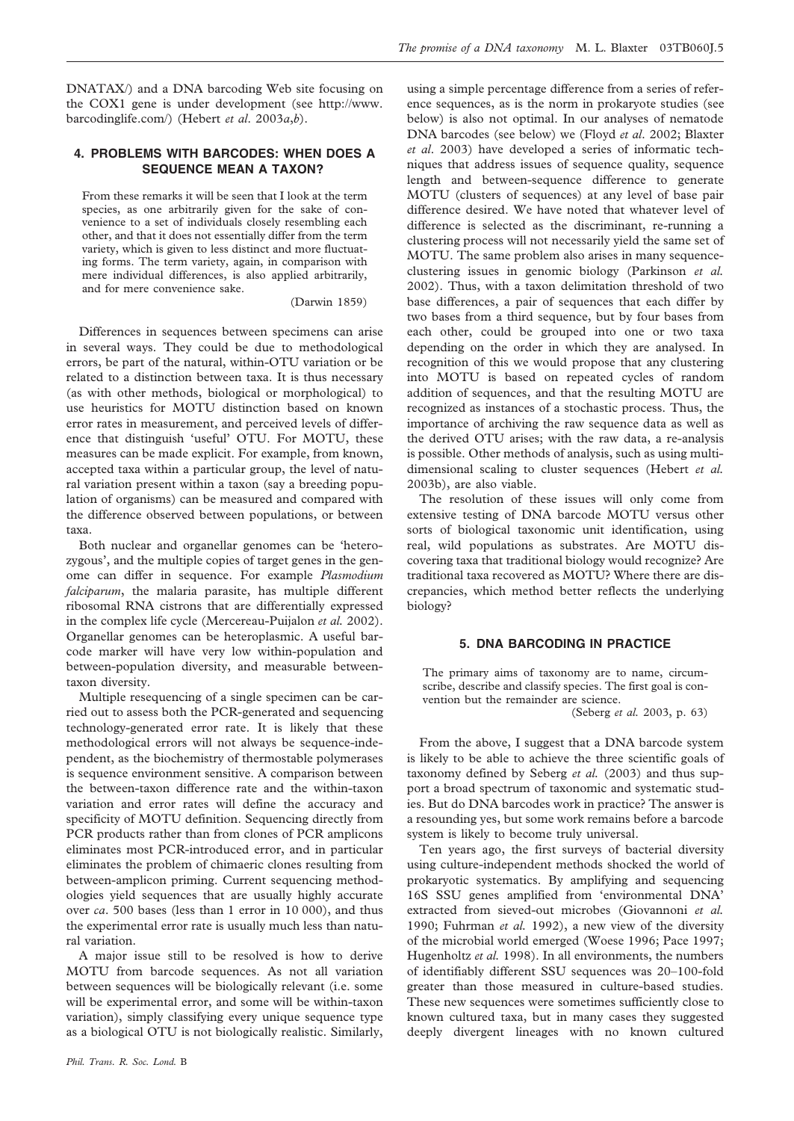DNATAX/) and a DNA barcoding Web site focusing on the COX1 gene is under development (see http://www. barcodinglife.com/) (Hebert *et al*. 2003*a*,*b*).

#### **4. PROBLEMS WITH BARCODES: WHEN DOES A SEQUENCE MEAN A TAXON?**

From these remarks it will be seen that I look at the term species, as one arbitrarily given for the sake of convenience to a set of individuals closely resembling each other, and that it does not essentially differ from the term variety, which is given to less distinct and more fluctuating forms. The term variety, again, in comparison with mere individual differences, is also applied arbitrarily, and for mere convenience sake.

(Darwin 1859)

Differences in sequences between specimens can arise in several ways. They could be due to methodological errors, be part of the natural, within-OTU variation or be related to a distinction between taxa. It is thus necessary (as with other methods, biological or morphological) to use heuristics for MOTU distinction based on known error rates in measurement, and perceived levels of difference that distinguish 'useful' OTU. For MOTU, these measures can be made explicit. For example, from known, accepted taxa within a particular group, the level of natural variation present within a taxon (say a breeding population of organisms) can be measured and compared with the difference observed between populations, or between taxa.

Both nuclear and organellar genomes can be 'heterozygous', and the multiple copies of target genes in the genome can differ in sequence. For example *Plasmodium falciparum*, the malaria parasite, has multiple different ribosomal RNA cistrons that are differentially expressed in the complex life cycle (Mercereau-Puijalon *et al.* 2002). Organellar genomes can be heteroplasmic. A useful barcode marker will have very low within-population and between-population diversity, and measurable betweentaxon diversity.

Multiple resequencing of a single specimen can be carried out to assess both the PCR-generated and sequencing technology-generated error rate. It is likely that these methodological errors will not always be sequence-independent, as the biochemistry of thermostable polymerases is sequence environment sensitive. A comparison between the between-taxon difference rate and the within-taxon variation and error rates will define the accuracy and specificity of MOTU definition. Sequencing directly from PCR products rather than from clones of PCR amplicons eliminates most PCR-introduced error, and in particular eliminates the problem of chimaeric clones resulting from between-amplicon priming. Current sequencing methodologies yield sequences that are usually highly accurate over *ca*. 500 bases (less than 1 error in 10 000), and thus the experimental error rate is usually much less than natural variation.

A major issue still to be resolved is how to derive MOTU from barcode sequences. As not all variation between sequences will be biologically relevant (i.e. some will be experimental error, and some will be within-taxon variation), simply classifying every unique sequence type as a biological OTU is not biologically realistic. Similarly,

using a simple percentage difference from a series of reference sequences, as is the norm in prokaryote studies (see below) is also not optimal. In our analyses of nematode DNA barcodes (see below) we (Floyd *et al*. 2002; Blaxter *et al*. 2003) have developed a series of informatic techniques that address issues of sequence quality, sequence length and between-sequence difference to generate MOTU (clusters of sequences) at any level of base pair difference desired. We have noted that whatever level of difference is selected as the discriminant, re-running a clustering process will not necessarily yield the same set of MOTU. The same problem also arises in many sequenceclustering issues in genomic biology (Parkinson *et al.* 2002). Thus, with a taxon delimitation threshold of two base differences, a pair of sequences that each differ by two bases from a third sequence, but by four bases from each other, could be grouped into one or two taxa depending on the order in which they are analysed. In recognition of this we would propose that any clustering into MOTU is based on repeated cycles of random addition of sequences, and that the resulting MOTU are recognized as instances of a stochastic process. Thus, the importance of archiving the raw sequence data as well as the derived OTU arises; with the raw data, a re-analysis is possible. Other methods of analysis, such as using multidimensional scaling to cluster sequences (Hebert *et al.* 2003b), are also viable.

The resolution of these issues will only come from extensive testing of DNA barcode MOTU versus other sorts of biological taxonomic unit identification, using real, wild populations as substrates. Are MOTU discovering taxa that traditional biology would recognize? Are traditional taxa recovered as MOTU? Where there are discrepancies, which method better reflects the underlying biology?

#### **5. DNA BARCODING IN PRACTICE**

The primary aims of taxonomy are to name, circumscribe, describe and classify species. The first goal is convention but the remainder are science.

(Seberg *et al.* 2003, p. 63)

From the above, I suggest that a DNA barcode system is likely to be able to achieve the three scientific goals of taxonomy defined by Seberg *et al.* (2003) and thus support a broad spectrum of taxonomic and systematic studies. But do DNA barcodes work in practice? The answer is a resounding yes, but some work remains before a barcode system is likely to become truly universal.

Ten years ago, the first surveys of bacterial diversity using culture-independent methods shocked the world of prokaryotic systematics. By amplifying and sequencing 16S SSU genes amplified from 'environmental DNA' extracted from sieved-out microbes (Giovannoni *et al.* 1990; Fuhrman *et al.* 1992), a new view of the diversity of the microbial world emerged (Woese 1996; Pace 1997; Hugenholtz *et al.* 1998). In all environments, the numbers of identifiably different SSU sequences was 20–100-fold greater than those measured in culture-based studies. These new sequences were sometimes sufficiently close to known cultured taxa, but in many cases they suggested deeply divergent lineages with no known cultured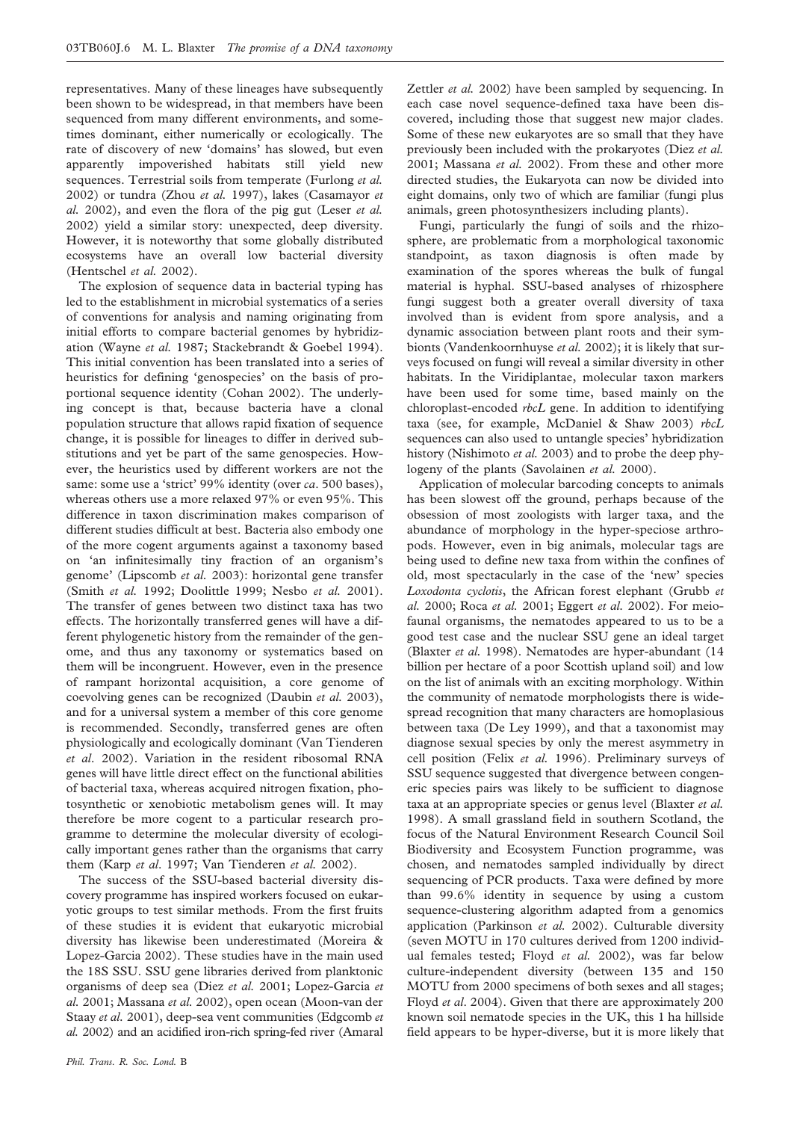representatives. Many of these lineages have subsequently been shown to be widespread, in that members have been sequenced from many different environments, and sometimes dominant, either numerically or ecologically. The rate of discovery of new 'domains' has slowed, but even apparently impoverished habitats still yield new sequences. Terrestrial soils from temperate (Furlong *et al.* 2002) or tundra (Zhou *et al.* 1997), lakes (Casamayor *et al.* 2002), and even the flora of the pig gut (Leser *et al.* 2002) yield a similar story: unexpected, deep diversity. However, it is noteworthy that some globally distributed ecosystems have an overall low bacterial diversity (Hentschel *et al.* 2002).

The explosion of sequence data in bacterial typing has led to the establishment in microbial systematics of a series of conventions for analysis and naming originating from initial efforts to compare bacterial genomes by hybridization (Wayne *et al.* 1987; Stackebrandt & Goebel 1994). This initial convention has been translated into a series of heuristics for defining 'genospecies' on the basis of proportional sequence identity (Cohan 2002). The underlying concept is that, because bacteria have a clonal population structure that allows rapid fixation of sequence change, it is possible for lineages to differ in derived substitutions and yet be part of the same genospecies. However, the heuristics used by different workers are not the same: some use a 'strict' 99% identity (over *ca*. 500 bases), whereas others use a more relaxed 97% or even 95%. This difference in taxon discrimination makes comparison of different studies difficult at best. Bacteria also embody one of the more cogent arguments against a taxonomy based on 'an infinitesimally tiny fraction of an organism's genome' (Lipscomb *et al.* 2003): horizontal gene transfer (Smith *et al.* 1992; Doolittle 1999; Nesbo *et al.* 2001). The transfer of genes between two distinct taxa has two effects. The horizontally transferred genes will have a different phylogenetic history from the remainder of the genome, and thus any taxonomy or systematics based on them will be incongruent. However, even in the presence of rampant horizontal acquisition, a core genome of coevolving genes can be recognized (Daubin *et al.* 2003), and for a universal system a member of this core genome is recommended. Secondly, transferred genes are often physiologically and ecologically dominant (Van Tienderen *et al*. 2002). Variation in the resident ribosomal RNA genes will have little direct effect on the functional abilities of bacterial taxa, whereas acquired nitrogen fixation, photosynthetic or xenobiotic metabolism genes will. It may therefore be more cogent to a particular research programme to determine the molecular diversity of ecologically important genes rather than the organisms that carry them (Karp *et al*. 1997; Van Tienderen *et al.* 2002).

The success of the SSU-based bacterial diversity discovery programme has inspired workers focused on eukaryotic groups to test similar methods. From the first fruits of these studies it is evident that eukaryotic microbial diversity has likewise been underestimated (Moreira & Lopez-Garcia 2002). These studies have in the main used the 18S SSU. SSU gene libraries derived from planktonic organisms of deep sea (Diez *et al.* 2001; Lopez-Garcia *et al.* 2001; Massana *et al.* 2002), open ocean (Moon-van der Staay *et al.* 2001), deep-sea vent communities (Edgcomb *et al.* 2002) and an acidified iron-rich spring-fed river (Amaral

*Phil. Trans. R. Soc. Lond.* B

Zettler *et al.* 2002) have been sampled by sequencing. In each case novel sequence-defined taxa have been discovered, including those that suggest new major clades. Some of these new eukaryotes are so small that they have previously been included with the prokaryotes (Diez *et al.* 2001; Massana *et al.* 2002). From these and other more directed studies, the Eukaryota can now be divided into eight domains, only two of which are familiar (fungi plus animals, green photosynthesizers including plants).

Fungi, particularly the fungi of soils and the rhizosphere, are problematic from a morphological taxonomic standpoint, as taxon diagnosis is often made by examination of the spores whereas the bulk of fungal material is hyphal. SSU-based analyses of rhizosphere fungi suggest both a greater overall diversity of taxa involved than is evident from spore analysis, and a dynamic association between plant roots and their symbionts (Vandenkoornhuyse *et al.* 2002); it is likely that surveys focused on fungi will reveal a similar diversity in other habitats. In the Viridiplantae, molecular taxon markers have been used for some time, based mainly on the chloroplast-encoded *rbcL* gene. In addition to identifying taxa (see, for example, McDaniel & Shaw 2003) *rbcL* sequences can also used to untangle species' hybridization history (Nishimoto *et al.* 2003) and to probe the deep phylogeny of the plants (Savolainen *et al.* 2000).

Application of molecular barcoding concepts to animals has been slowest off the ground, perhaps because of the obsession of most zoologists with larger taxa, and the abundance of morphology in the hyper-speciose arthropods. However, even in big animals, molecular tags are being used to define new taxa from within the confines of old, most spectacularly in the case of the 'new' species *Loxodonta cyclotis*, the African forest elephant (Grubb *et al.* 2000; Roca *et al.* 2001; Eggert *et al.* 2002). For meiofaunal organisms, the nematodes appeared to us to be a good test case and the nuclear SSU gene an ideal target (Blaxter *et al.* 1998). Nematodes are hyper-abundant (14 billion per hectare of a poor Scottish upland soil) and low on the list of animals with an exciting morphology. Within the community of nematode morphologists there is widespread recognition that many characters are homoplasious between taxa (De Ley 1999), and that a taxonomist may diagnose sexual species by only the merest asymmetry in cell position (Felix *et al.* 1996). Preliminary surveys of SSU sequence suggested that divergence between congeneric species pairs was likely to be sufficient to diagnose taxa at an appropriate species or genus level (Blaxter *et al.* 1998). A small grassland field in southern Scotland, the focus of the Natural Environment Research Council Soil Biodiversity and Ecosystem Function programme, was chosen, and nematodes sampled individually by direct sequencing of PCR products. Taxa were defined by more than 99.6% identity in sequence by using a custom sequence-clustering algorithm adapted from a genomics application (Parkinson *et al.* 2002). Culturable diversity (seven MOTU in 170 cultures derived from 1200 individual females tested; Floyd *et al.* 2002), was far below culture-independent diversity (between 135 and 150 MOTU from 2000 specimens of both sexes and all stages; Floyd *et al*. 2004). Given that there are approximately 200 known soil nematode species in the UK, this 1 ha hillside field appears to be hyper-diverse, but it is more likely that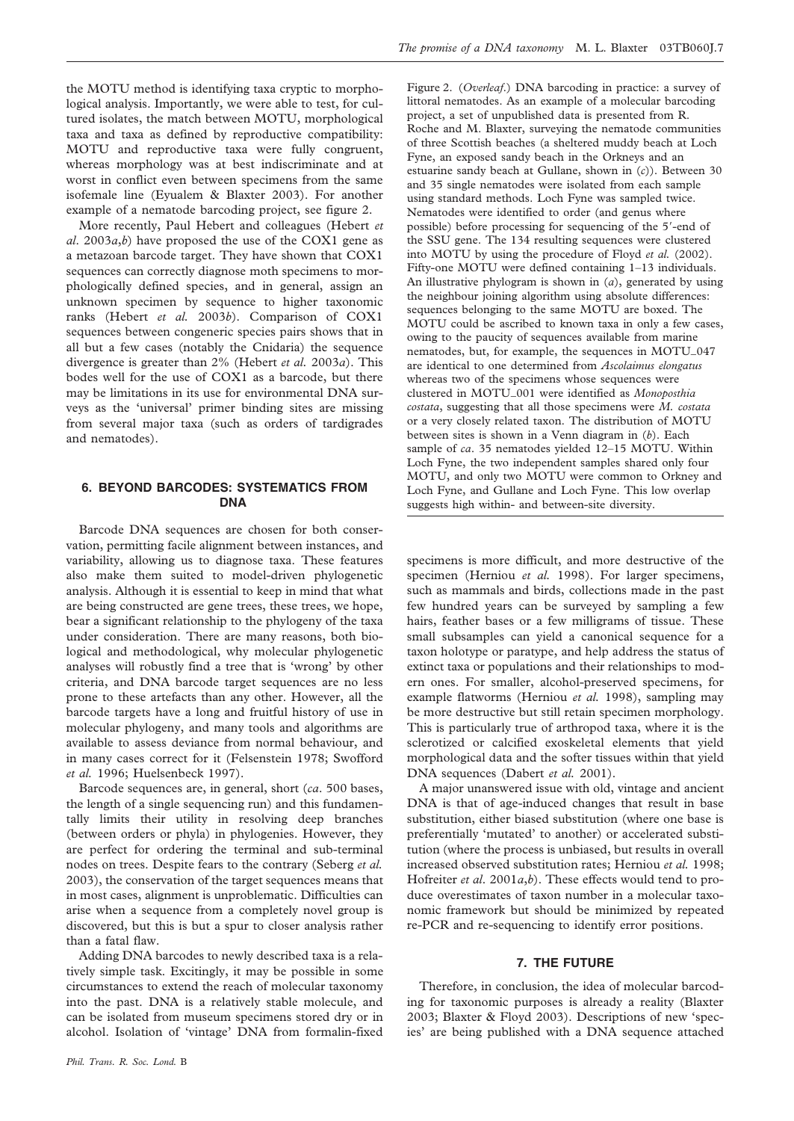the MOTU method is identifying taxa cryptic to morphological analysis. Importantly, we were able to test, for cultured isolates, the match between MOTU, morphological taxa and taxa as defined by reproductive compatibility: MOTU and reproductive taxa were fully congruent, whereas morphology was at best indiscriminate and at worst in conflict even between specimens from the same isofemale line (Eyualem & Blaxter 2003). For another example of a nematode barcoding project, see figure 2.

More recently, Paul Hebert and colleagues (Hebert *et al*. 2003*a*,*b*) have proposed the use of the COX1 gene as a metazoan barcode target. They have shown that COX1 sequences can correctly diagnose moth specimens to morphologically defined species, and in general, assign an unknown specimen by sequence to higher taxonomic ranks (Hebert *et al.* 2003*b*). Comparison of COX1 sequences between congeneric species pairs shows that in all but a few cases (notably the Cnidaria) the sequence divergence is greater than 2% (Hebert *et al.* 2003*a*). This bodes well for the use of COX1 as a barcode, but there may be limitations in its use for environmental DNA surveys as the 'universal' primer binding sites are missing from several major taxa (such as orders of tardigrades and nematodes).

## **6. BEYOND BARCODES: SYSTEMATICS FROM DNA**

Barcode DNA sequences are chosen for both conservation, permitting facile alignment between instances, and variability, allowing us to diagnose taxa. These features also make them suited to model-driven phylogenetic analysis. Although it is essential to keep in mind that what are being constructed are gene trees, these trees, we hope, bear a significant relationship to the phylogeny of the taxa under consideration. There are many reasons, both biological and methodological, why molecular phylogenetic analyses will robustly find a tree that is 'wrong' by other criteria, and DNA barcode target sequences are no less prone to these artefacts than any other. However, all the barcode targets have a long and fruitful history of use in molecular phylogeny, and many tools and algorithms are available to assess deviance from normal behaviour, and in many cases correct for it (Felsenstein 1978; Swofford *et al.* 1996; Huelsenbeck 1997).

Barcode sequences are, in general, short (*ca*. 500 bases, the length of a single sequencing run) and this fundamentally limits their utility in resolving deep branches (between orders or phyla) in phylogenies. However, they are perfect for ordering the terminal and sub-terminal nodes on trees. Despite fears to the contrary (Seberg *et al.* 2003), the conservation of the target sequences means that in most cases, alignment is unproblematic. Difficulties can arise when a sequence from a completely novel group is discovered, but this is but a spur to closer analysis rather than a fatal flaw.

Adding DNA barcodes to newly described taxa is a relatively simple task. Excitingly, it may be possible in some circumstances to extend the reach of molecular taxonomy into the past. DNA is a relatively stable molecule, and can be isolated from museum specimens stored dry or in alcohol. Isolation of 'vintage' DNA from formalin-fixed

Figure 2. (*Overleaf*.) DNA barcoding in practice: a survey of littoral nematodes. As an example of a molecular barcoding project, a set of unpublished data is presented from R. Roche and M. Blaxter, surveying the nematode communities of three Scottish beaches (a sheltered muddy beach at Loch Fyne, an exposed sandy beach in the Orkneys and an estuarine sandy beach at Gullane, shown in (*c*)). Between 30 and 35 single nematodes were isolated from each sample using standard methods. Loch Fyne was sampled twice. Nematodes were identified to order (and genus where possible) before processing for sequencing of the 5'-end of the SSU gene. The 134 resulting sequences were clustered into MOTU by using the procedure of Floyd *et al.* (2002). Fifty-one MOTU were defined containing 1–13 individuals. An illustrative phylogram is shown in (*a*), generated by using the neighbour joining algorithm using absolute differences: sequences belonging to the same MOTU are boxed. The MOTU could be ascribed to known taxa in only a few cases, owing to the paucity of sequences available from marine nematodes, but, for example, the sequences in MOTU\_047 are identical to one determined from *Ascolaimus elongatus* whereas two of the specimens whose sequences were clustered in MOTU<sub>-001</sub> were identified as *Monoposthia costata*, suggesting that all those specimens were *M. costata* or a very closely related taxon. The distribution of MOTU between sites is shown in a Venn diagram in (*b*). Each sample of *ca*. 35 nematodes yielded 12–15 MOTU. Within Loch Fyne, the two independent samples shared only four MOTU, and only two MOTU were common to Orkney and Loch Fyne, and Gullane and Loch Fyne. This low overlap suggests high within- and between-site diversity.

specimens is more difficult, and more destructive of the specimen (Herniou *et al.* 1998). For larger specimens, such as mammals and birds, collections made in the past few hundred years can be surveyed by sampling a few hairs, feather bases or a few milligrams of tissue. These small subsamples can yield a canonical sequence for a taxon holotype or paratype, and help address the status of extinct taxa or populations and their relationships to modern ones. For smaller, alcohol-preserved specimens, for example flatworms (Herniou *et al.* 1998), sampling may be more destructive but still retain specimen morphology. This is particularly true of arthropod taxa, where it is the sclerotized or calcified exoskeletal elements that yield morphological data and the softer tissues within that yield DNA sequences (Dabert *et al.* 2001).

A major unanswered issue with old, vintage and ancient DNA is that of age-induced changes that result in base substitution, either biased substitution (where one base is preferentially 'mutated' to another) or accelerated substitution (where the process is unbiased, but results in overall increased observed substitution rates; Herniou *et al.* 1998; Hofreiter *et al*. 2001*a*,*b*). These effects would tend to produce overestimates of taxon number in a molecular taxonomic framework but should be minimized by repeated re-PCR and re-sequencing to identify error positions.

#### **7. THE FUTURE**

Therefore, in conclusion, the idea of molecular barcoding for taxonomic purposes is already a reality (Blaxter 2003; Blaxter & Floyd 2003). Descriptions of new 'species' are being published with a DNA sequence attached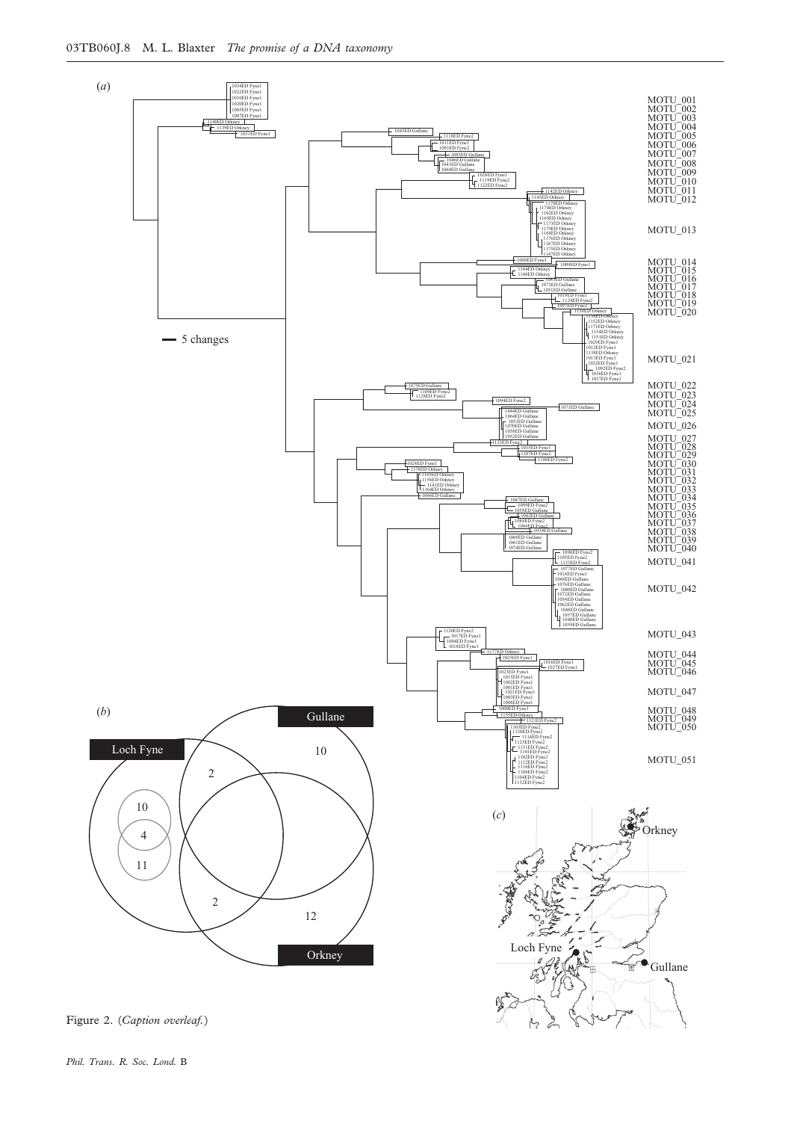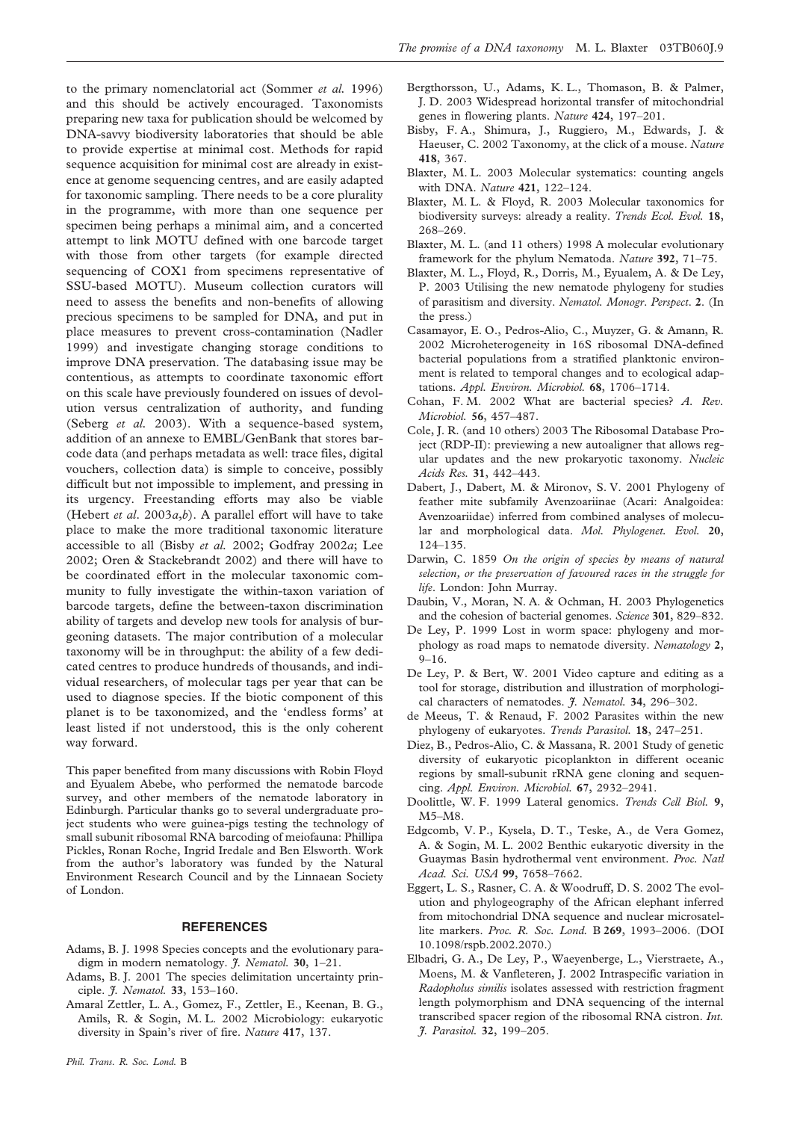to the primary nomenclatorial act (Sommer *et al.* 1996) and this should be actively encouraged. Taxonomists preparing new taxa for publication should be welcomed by DNA-savvy biodiversity laboratories that should be able to provide expertise at minimal cost. Methods for rapid sequence acquisition for minimal cost are already in existence at genome sequencing centres, and are easily adapted for taxonomic sampling. There needs to be a core plurality in the programme, with more than one sequence per specimen being perhaps a minimal aim, and a concerted attempt to link MOTU defined with one barcode target with those from other targets (for example directed sequencing of COX1 from specimens representative of SSU-based MOTU). Museum collection curators will need to assess the benefits and non-benefits of allowing precious specimens to be sampled for DNA, and put in place measures to prevent cross-contamination (Nadler 1999) and investigate changing storage conditions to improve DNA preservation. The databasing issue may be contentious, as attempts to coordinate taxonomic effort on this scale have previously foundered on issues of devolution versus centralization of authority, and funding (Seberg *et al.* 2003). With a sequence-based system, addition of an annexe to EMBL/GenBank that stores barcode data (and perhaps metadata as well: trace files, digital vouchers, collection data) is simple to conceive, possibly difficult but not impossible to implement, and pressing in its urgency. Freestanding efforts may also be viable (Hebert *et al*. 2003*a*,*b*). A parallel effort will have to take place to make the more traditional taxonomic literature accessible to all (Bisby *et al.* 2002; Godfray 2002*a*; Lee 2002; Oren & Stackebrandt 2002) and there will have to be coordinated effort in the molecular taxonomic community to fully investigate the within-taxon variation of barcode targets, define the between-taxon discrimination ability of targets and develop new tools for analysis of burgeoning datasets. The major contribution of a molecular taxonomy will be in throughput: the ability of a few dedicated centres to produce hundreds of thousands, and individual researchers, of molecular tags per year that can be used to diagnose species. If the biotic component of this planet is to be taxonomized, and the 'endless forms' at least listed if not understood, this is the only coherent way forward.

This paper benefited from many discussions with Robin Floyd and Eyualem Abebe, who performed the nematode barcode survey, and other members of the nematode laboratory in Edinburgh. Particular thanks go to several undergraduate project students who were guinea-pigs testing the technology of small subunit ribosomal RNA barcoding of meiofauna: Phillipa Pickles, Ronan Roche, Ingrid Iredale and Ben Elsworth. Work from the author's laboratory was funded by the Natural Environment Research Council and by the Linnaean Society of London.

#### **REFERENCES**

- Adams, B. J. 1998 Species concepts and the evolutionary paradigm in modern nematology. *J. Nematol.* **30**, 1–21.
- Adams, B. J. 2001 The species delimitation uncertainty principle. *J. Nematol.* **33**, 153–160.
- Amaral Zettler, L. A., Gomez, F., Zettler, E., Keenan, B. G., Amils, R. & Sogin, M. L. 2002 Microbiology: eukaryotic diversity in Spain's river of fire. *Nature* **417**, 137.
- Bergthorsson, U., Adams, K. L., Thomason, B. & Palmer, J. D. 2003 Widespread horizontal transfer of mitochondrial genes in flowering plants. *Nature* **424**, 197–201.
- Bisby, F. A., Shimura, J., Ruggiero, M., Edwards, J. & Haeuser, C. 2002 Taxonomy, at the click of a mouse. *Nature* **418**, 367.
- Blaxter, M. L. 2003 Molecular systematics: counting angels with DNA. *Nature* **421**, 122–124.
- Blaxter, M. L. & Floyd, R. 2003 Molecular taxonomics for biodiversity surveys: already a reality. *Trends Ecol. Evol.* **18**, 268–269.
- Blaxter, M. L. (and 11 others) 1998 A molecular evolutionary framework for the phylum Nematoda. *Nature* **392**, 71–75.
- Blaxter, M. L., Floyd, R., Dorris, M., Eyualem, A. & De Ley, P. 2003 Utilising the new nematode phylogeny for studies of parasitism and diversity. *Nematol. Monogr*. *Perspect*. **2**. (In the press.)
- Casamayor, E. O., Pedros-Alio, C., Muyzer, G. & Amann, R. 2002 Microheterogeneity in 16S ribosomal DNA-defined bacterial populations from a stratified planktonic environment is related to temporal changes and to ecological adaptations. *Appl. Environ. Microbiol.* **68**, 1706–1714.
- Cohan, F. M. 2002 What are bacterial species? *A. Rev. Microbiol.* **56**, 457–487.
- Cole, J. R. (and 10 others) 2003 The Ribosomal Database Project (RDP-II): previewing a new autoaligner that allows regular updates and the new prokaryotic taxonomy. *Nucleic Acids Res.* **31**, 442–443.
- Dabert, J., Dabert, M. & Mironov, S. V. 2001 Phylogeny of feather mite subfamily Avenzoariinae (Acari: Analgoidea: Avenzoariidae) inferred from combined analyses of molecular and morphological data. *Mol. Phylogenet. Evol.* **20**, 124–135.
- Darwin, C. 1859 *On the origin of species by means of natural selection, or the preservation of favoured races in the struggle for life*. London: John Murray.
- Daubin, V., Moran, N. A. & Ochman, H. 2003 Phylogenetics and the cohesion of bacterial genomes. *Science* **301**, 829–832.
- De Ley, P. 1999 Lost in worm space: phylogeny and morphology as road maps to nematode diversity. *Nematology* **2**,  $9-16$ .
- De Ley, P. & Bert, W. 2001 Video capture and editing as a tool for storage, distribution and illustration of morphological characters of nematodes. *J. Nematol.* **34**, 296–302.
- de Meeus, T. & Renaud, F. 2002 Parasites within the new phylogeny of eukaryotes. *Trends Parasitol.* **18**, 247–251.
- Diez, B., Pedros-Alio, C. & Massana, R. 2001 Study of genetic diversity of eukaryotic picoplankton in different oceanic regions by small-subunit rRNA gene cloning and sequencing. *Appl. Environ. Microbiol.* **67**, 2932–2941.
- Doolittle, W. F. 1999 Lateral genomics. *Trends Cell Biol.* **9**, M5–M8.
- Edgcomb, V. P., Kysela, D. T., Teske, A., de Vera Gomez, A. & Sogin, M. L. 2002 Benthic eukaryotic diversity in the Guaymas Basin hydrothermal vent environment. *Proc. Natl Acad. Sci. USA* **99**, 7658–7662.
- Eggert, L. S., Rasner, C. A. & Woodruff, D. S. 2002 The evolution and phylogeography of the African elephant inferred from mitochondrial DNA sequence and nuclear microsatellite markers. *Proc. R. Soc. Lond.* B **269**, 1993–2006. (DOI 10.1098/rspb.2002.2070.)
- Elbadri, G. A., De Ley, P., Waeyenberge, L., Vierstraete, A., Moens, M. & Vanfleteren, J. 2002 Intraspecific variation in *Radopholus similis* isolates assessed with restriction fragment length polymorphism and DNA sequencing of the internal transcribed spacer region of the ribosomal RNA cistron. *Int. J. Parasitol.* **32**, 199–205.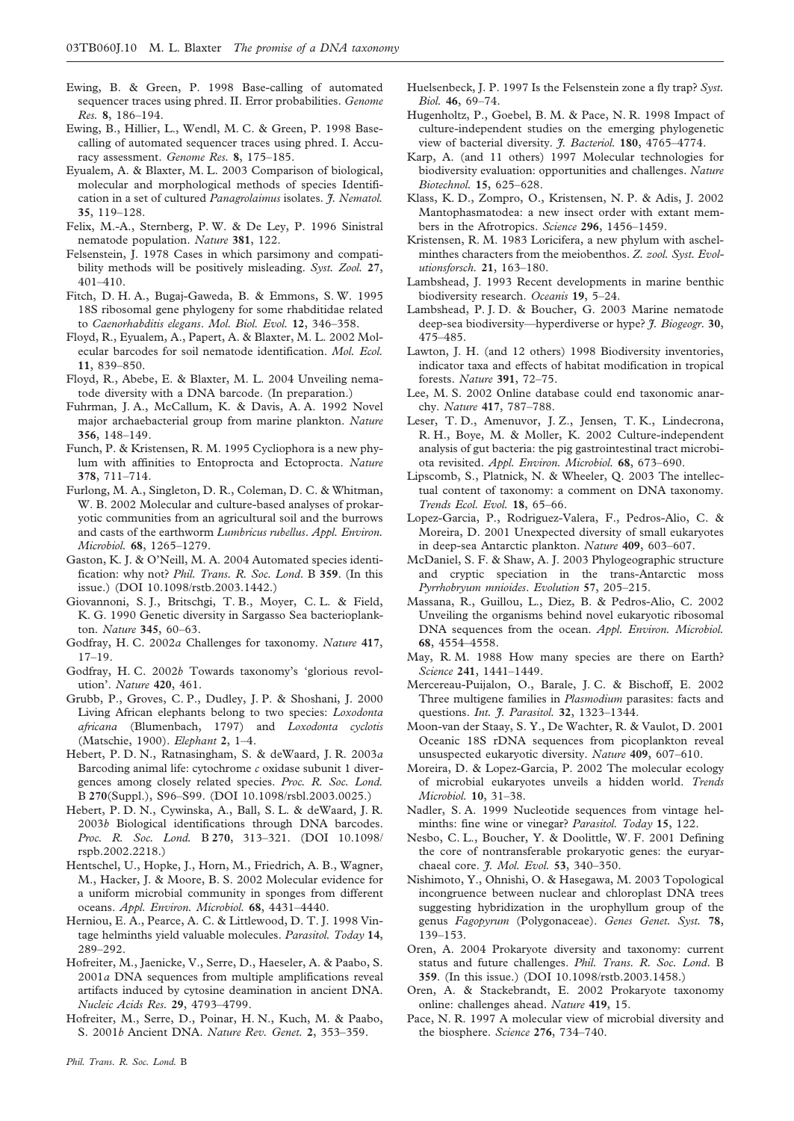- Ewing, B. & Green, P. 1998 Base-calling of automated sequencer traces using phred. II. Error probabilities. *Genome Res.* **8**, 186–194.
- Ewing, B., Hillier, L., Wendl, M. C. & Green, P. 1998 Basecalling of automated sequencer traces using phred. I. Accuracy assessment. *Genome Res.* **8**, 175–185.
- Eyualem, A. & Blaxter, M. L. 2003 Comparison of biological, molecular and morphological methods of species Identification in a set of cultured *Panagrolaimus* isolates. *J. Nematol.* **35**, 119–128.
- Felix, M.-A., Sternberg, P. W. & De Ley, P. 1996 Sinistral nematode population. *Nature* **381**, 122.
- Felsenstein, J. 1978 Cases in which parsimony and compatibility methods will be positively misleading. *Syst. Zool.* **27**, 401–410.
- Fitch, D. H. A., Bugaj-Gaweda, B. & Emmons, S. W. 1995 18S ribosomal gene phylogeny for some rhabditidae related to *Caenorhabditis elegans*. *Mol. Biol. Evol.* **12**, 346–358.
- Floyd, R., Eyualem, A., Papert, A. & Blaxter, M. L. 2002 Molecular barcodes for soil nematode identification. *Mol. Ecol.* **11**, 839–850.
- Floyd, R., Abebe, E. & Blaxter, M. L. 2004 Unveiling nematode diversity with a DNA barcode. (In preparation.)
- Fuhrman, J. A., McCallum, K. & Davis, A. A. 1992 Novel major archaebacterial group from marine plankton. *Nature* **356**, 148–149.
- Funch, P. & Kristensen, R. M. 1995 Cycliophora is a new phylum with affinities to Entoprocta and Ectoprocta. *Nature* **378**, 711–714.
- Furlong, M. A., Singleton, D. R., Coleman, D. C. & Whitman, W. B. 2002 Molecular and culture-based analyses of prokaryotic communities from an agricultural soil and the burrows and casts of the earthworm *Lumbricus rubellus*. *Appl. Environ. Microbiol.* **68**, 1265–1279.
- Gaston, K. J. & O'Neill, M. A. 2004 Automated species identification: why not? *Phil. Trans. R. Soc. Lond*. B **359**. (In this issue.) (DOI 10.1098/rstb.2003.1442.)
- Giovannoni, S. J., Britschgi, T. B., Moyer, C. L. & Field, K. G. 1990 Genetic diversity in Sargasso Sea bacterioplankton. *Nature* **345**, 60–63.
- Godfray, H. C. 2002*a* Challenges for taxonomy. *Nature* **417**, 17–19.
- Godfray, H. C. 2002*b* Towards taxonomy's 'glorious revolution'. *Nature* **420**, 461.
- Grubb, P., Groves, C. P., Dudley, J. P. & Shoshani, J. 2000 Living African elephants belong to two species: *Loxodonta africana* (Blumenbach, 1797) and *Loxodonta cyclotis* (Matschie, 1900). *Elephant* **2**, 1–4.
- Hebert, P. D. N., Ratnasingham, S. & deWaard, J. R. 2003*a* Barcoding animal life: cytochrome *c* oxidase subunit 1 divergences among closely related species. *Proc. R. Soc. Lond.* B **270**(Suppl.), S96–S99. (DOI 10.1098/rsbl.2003.0025.)
- Hebert, P. D. N., Cywinska, A., Ball, S. L. & deWaard, J. R. 2003*b* Biological identifications through DNA barcodes. *Proc. R. Soc. Lond.* B **270**, 313–321. (DOI 10.1098/ rspb.2002.2218.)
- Hentschel, U., Hopke, J., Horn, M., Friedrich, A. B., Wagner, M., Hacker, J. & Moore, B. S. 2002 Molecular evidence for a uniform microbial community in sponges from different oceans. *Appl. Environ. Microbiol.* **68**, 4431–4440.
- Herniou, E. A., Pearce, A. C. & Littlewood, D. T. J. 1998 Vintage helminths yield valuable molecules. *Parasitol. Today* **14**, 289–292.
- Hofreiter, M., Jaenicke, V., Serre, D., Haeseler, A. & Paabo, S. 2001*a* DNA sequences from multiple amplifications reveal artifacts induced by cytosine deamination in ancient DNA. *Nucleic Acids Res.* **29**, 4793–4799.
- Hofreiter, M., Serre, D., Poinar, H. N., Kuch, M. & Paabo, S. 2001*b* Ancient DNA. *Nature Rev. Genet.* **2**, 353–359.
- Huelsenbeck, J. P. 1997 Is the Felsenstein zone a fly trap? *Syst. Biol.* **46**, 69–74.
- Hugenholtz, P., Goebel, B. M. & Pace, N. R. 1998 Impact of culture-independent studies on the emerging phylogenetic view of bacterial diversity. *J. Bacteriol.* **180**, 4765–4774.
- Karp, A. (and 11 others) 1997 Molecular technologies for biodiversity evaluation: opportunities and challenges. *Nature Biotechnol.* **15**, 625–628.
- Klass, K. D., Zompro, O., Kristensen, N. P. & Adis, J. 2002 Mantophasmatodea: a new insect order with extant members in the Afrotropics. *Science* **296**, 1456–1459.
- Kristensen, R. M. 1983 Loricifera, a new phylum with aschelminthes characters from the meiobenthos. *Z. zool. Syst. Evolutionsforsch.* **21**, 163–180.
- Lambshead, J. 1993 Recent developments in marine benthic biodiversity research. *Oceanis* **19**, 5–24.
- Lambshead, P. J. D. & Boucher, G. 2003 Marine nematode deep-sea biodiversity—hyperdiverse or hype? *J. Biogeogr.* **30**, 475–485.
- Lawton, J. H. (and 12 others) 1998 Biodiversity inventories, indicator taxa and effects of habitat modification in tropical forests. *Nature* **391**, 72–75.
- Lee, M. S. 2002 Online database could end taxonomic anarchy. *Nature* **417**, 787–788.
- Leser, T. D., Amenuvor, J. Z., Jensen, T. K., Lindecrona, R. H., Boye, M. & Moller, K. 2002 Culture-independent analysis of gut bacteria: the pig gastrointestinal tract microbiota revisited. *Appl. Environ. Microbiol.* **68**, 673–690.
- Lipscomb, S., Platnick, N. & Wheeler, Q. 2003 The intellectual content of taxonomy: a comment on DNA taxonomy. *Trends Ecol. Evol.* **18**, 65–66.
- Lopez-Garcia, P., Rodriguez-Valera, F., Pedros-Alio, C. & Moreira, D. 2001 Unexpected diversity of small eukaryotes in deep-sea Antarctic plankton. *Nature* **409**, 603–607.
- McDaniel, S. F. & Shaw, A. J. 2003 Phylogeographic structure and cryptic speciation in the trans-Antarctic moss *Pyrrhobryum mnioides*. *Evolution* **57**, 205–215.
- Massana, R., Guillou, L., Diez, B. & Pedros-Alio, C. 2002 Unveiling the organisms behind novel eukaryotic ribosomal DNA sequences from the ocean. *Appl. Environ. Microbiol.* **68**, 4554–4558.
- May, R. M. 1988 How many species are there on Earth? *Science* **241**, 1441–1449.
- Mercereau-Puijalon, O., Barale, J. C. & Bischoff, E. 2002 Three multigene families in *Plasmodium* parasites: facts and questions. *Int. J. Parasitol.* **32**, 1323–1344.
- Moon-van der Staay, S. Y., De Wachter, R. & Vaulot, D. 2001 Oceanic 18S rDNA sequences from picoplankton reveal unsuspected eukaryotic diversity. *Nature* **409**, 607–610.
- Moreira, D. & Lopez-Garcia, P. 2002 The molecular ecology of microbial eukaryotes unveils a hidden world. *Trends Microbiol.* **10**, 31–38.
- Nadler, S. A. 1999 Nucleotide sequences from vintage helminths: fine wine or vinegar? *Parasitol. Today* **15**, 122.
- Nesbo, C. L., Boucher, Y. & Doolittle, W. F. 2001 Defining the core of nontransferable prokaryotic genes: the euryarchaeal core. *J. Mol. Evol.* **53**, 340–350.
- Nishimoto, Y., Ohnishi, O. & Hasegawa, M. 2003 Topological incongruence between nuclear and chloroplast DNA trees suggesting hybridization in the urophyllum group of the genus *Fagopyrum* (Polygonaceae). *Genes Genet. Syst.* **78**, 139–153.
- Oren, A. 2004 Prokaryote diversity and taxonomy: current status and future challenges. *Phil. Trans. R. Soc. Lond*. B **359**. (In this issue.) (DOI 10.1098/rstb.2003.1458.)
- Oren, A. & Stackebrandt, E. 2002 Prokaryote taxonomy online: challenges ahead. *Nature* **419**, 15.
- Pace, N. R. 1997 A molecular view of microbial diversity and the biosphere. *Science* **276**, 734–740.